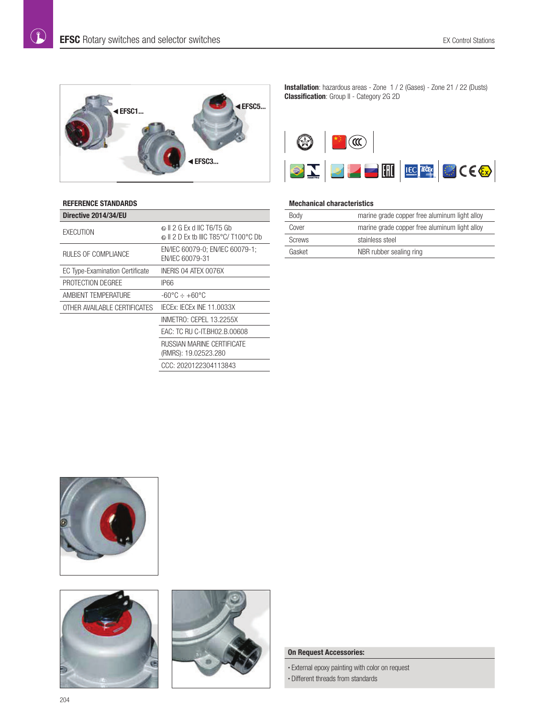$\left( \mathbf{r}\right)$ 



## **REFERENCE STANDARDS**

| Directive 2014/34/EU                   |                                                                  |  |  |  |  |
|----------------------------------------|------------------------------------------------------------------|--|--|--|--|
| <b>FXFCUTION</b>                       | பை 2 G Ex d IIC T6/T5 Gb<br>© II 2 D Ex tb IIIC T85°C/ T100°C Db |  |  |  |  |
| RULES OF COMPLIANCE                    | EN/IEC 60079-0; EN/IEC 60079-1;<br>FN/IFC 60079-31               |  |  |  |  |
| <b>EC Type-Examination Certificate</b> | INERIS 04 ATEX 0076X                                             |  |  |  |  |
| PROTECTION DEGREE                      | IP66                                                             |  |  |  |  |
| AMBIENT TEMPERATURE                    | -60°C ÷ +60°C                                                    |  |  |  |  |
| OTHER AVAILABLE CERTIFICATES           | IFCEX: IFCEX INF 11.0033X                                        |  |  |  |  |
|                                        | INMETRO: CEPEL 13.2255X                                          |  |  |  |  |
|                                        | EAC: TC RU C-IT.BH02.B.00608                                     |  |  |  |  |
|                                        | RUSSIAN MARINE CERTIFICATE<br>(RMRS): 19.02523.280               |  |  |  |  |
|                                        | CCC: 2020122304113843                                            |  |  |  |  |

**Installation**: hazardous areas - Zone 1 / 2 (Gases) - Zone 21 / 22 (Dusts) **Classification**: Group II - Category 2G 2D



## **Mechanical characteristics**

| <b>Body</b>   | marine grade copper free aluminum light alloy |
|---------------|-----------------------------------------------|
| Cover         | marine grade copper free aluminum light alloy |
| <b>Screws</b> | stainless steel                               |
| Gasket        | NBR rubber sealing ring                       |







### **On Request Accessories:**

• External epoxy painting with color on request

• Different threads from standards